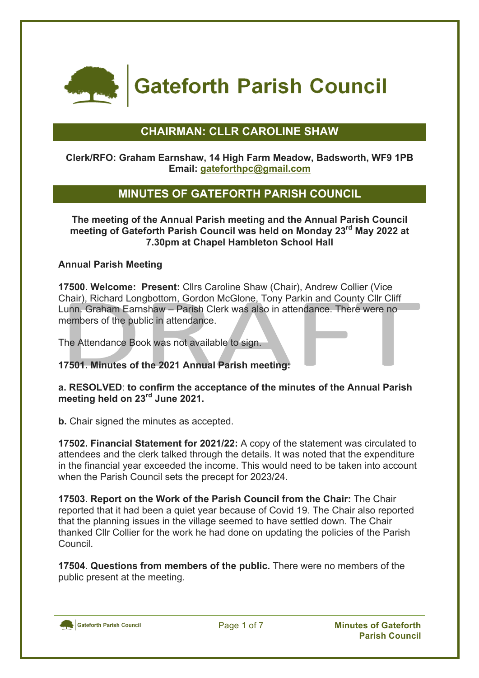

**Gateforth Parish Council** 

# **CHAIRMAN: CLLR CAROLINE SHAW**

### **Clerk/RFO: Graham Earnshaw, 14 High Farm Meadow, Badsworth, WF9 1PB Email: gateforthpc@gmail.com**

# **MINUTES OF GATEFORTH PARISH COUNCIL**

**The meeting of the Annual Parish meeting and the Annual Parish Council meeting of Gateforth Parish Council was held on Monday 23rd May 2022 at 7.30pm at Chapel Hambleton School Hall**

### **Annual Parish Meeting**

**17500. Welcome: Present:** Cllrs Caroline Shaw (Chair), Andrew Collier (Vice Chair), Richard Longbottom, Gordon McGlone, Tony Parkin and County Cllr Cliff Lunn. Graham Earnshaw – Parish Clerk was also in attendance. There were no members of the public in attendance.

The Attendance Book was not available to sign.

**17501. Minutes of the 2021 Annual Parish meeting:**

**a. RESOLVED**: **to confirm the acceptance of the minutes of the Annual Parish meeting held on 23rd June 2021.**

**b.** Chair signed the minutes as accepted.

**17502. Financial Statement for 2021/22:** A copy of the statement was circulated to attendees and the clerk talked through the details. It was noted that the expenditure in the financial year exceeded the income. This would need to be taken into account when the Parish Council sets the precept for 2023/24.

**17503. Report on the Work of the Parish Council from the Chair:** The Chair reported that it had been a quiet year because of Covid 19. The Chair also reported that the planning issues in the village seemed to have settled down. The Chair thanked Cllr Collier for the work he had done on updating the policies of the Parish Council.

**17504. Questions from members of the public.** There were no members of the public present at the meeting.

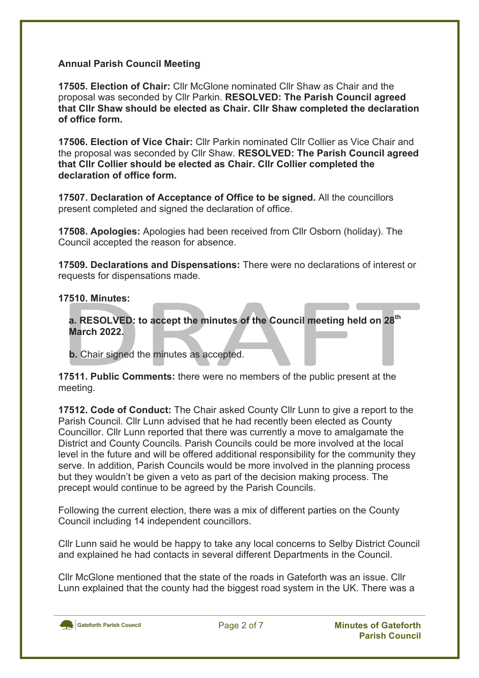### **Annual Parish Council Meeting**

**17505. Election of Chair:** Cllr McGlone nominated Cllr Shaw as Chair and the proposal was seconded by Cllr Parkin. **RESOLVED: The Parish Council agreed that Cllr Shaw should be elected as Chair. Cllr Shaw completed the declaration of office form.**

**17506. Election of Vice Chair:** Cllr Parkin nominated Cllr Collier as Vice Chair and the proposal was seconded by Cllr Shaw. **RESOLVED: The Parish Council agreed that Cllr Collier should be elected as Chair. Cllr Collier completed the declaration of office form.**

**17507. Declaration of Acceptance of Office to be signed.** All the councillors present completed and signed the declaration of office.

**17508. Apologies:** Apologies had been received from Cllr Osborn (holiday). The Council accepted the reason for absence.

**17509. Declarations and Dispensations:** There were no declarations of interest or requests for dispensations made.

### **17510. Minutes:**

**a. RESOLVED: to accept the minutes of the Council meeting held on 28th March 2022.**

 **b.** Chair signed the minutes as accepted.

**17511. Public Comments:** there were no members of the public present at the meeting.

**17512. Code of Conduct:** The Chair asked County Cllr Lunn to give a report to the Parish Council. Cllr Lunn advised that he had recently been elected as County Councillor. Cllr Lunn reported that there was currently a move to amalgamate the District and County Councils. Parish Councils could be more involved at the local level in the future and will be offered additional responsibility for the community they serve. In addition, Parish Councils would be more involved in the planning process but they wouldn't be given a veto as part of the decision making process. The precept would continue to be agreed by the Parish Councils.

Following the current election, there was a mix of different parties on the County Council including 14 independent councillors.

Cllr Lunn said he would be happy to take any local concerns to Selby District Council and explained he had contacts in several different Departments in the Council.

Cllr McGlone mentioned that the state of the roads in Gateforth was an issue. Cllr Lunn explained that the county had the biggest road system in the UK. There was a

Gateforth Parish Council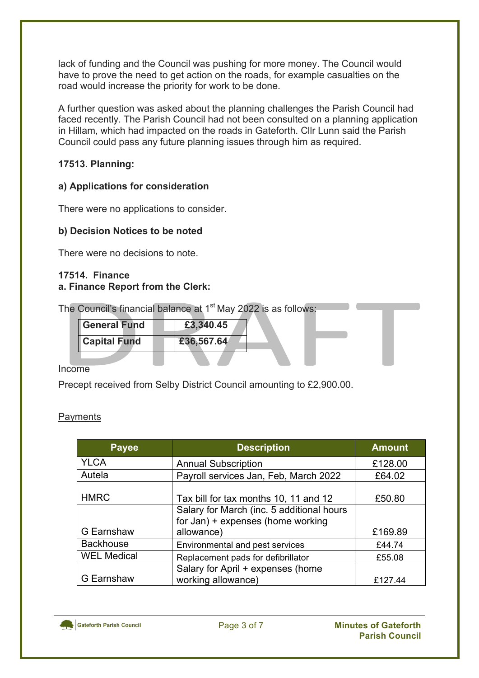lack of funding and the Council was pushing for more money. The Council would have to prove the need to get action on the roads, for example casualties on the road would increase the priority for work to be done.

A further question was asked about the planning challenges the Parish Council had faced recently. The Parish Council had not been consulted on a planning application in Hillam, which had impacted on the roads in Gateforth. Cllr Lunn said the Parish Council could pass any future planning issues through him as required.

### **17513. Planning:**

### **a) Applications for consideration**

There were no applications to consider.

### **b) Decision Notices to be noted**

There were no decisions to note.

### **17514. Finance a. Finance Report from the Clerk:**

| The Council's financial balance at 1 <sup>st</sup> May 2022 is as follows: |  |  |  |
|----------------------------------------------------------------------------|--|--|--|
|                                                                            |  |  |  |

| General Fund        | £3,340.45  |  |
|---------------------|------------|--|
| <b>Capital Fund</b> | £36,567.64 |  |

### Income

Precept received from Selby District Council amounting to £2,900.00.

| vmen |  |
|------|--|
|      |  |

| <b>Payee</b>       | <b>Description</b>                        | <b>Amount</b> |
|--------------------|-------------------------------------------|---------------|
| <b>YLCA</b>        | <b>Annual Subscription</b>                | £128.00       |
| Autela             | Payroll services Jan, Feb, March 2022     | £64.02        |
| <b>HMRC</b>        | Tax bill for tax months 10, 11 and 12     | £50.80        |
|                    | Salary for March (inc. 5 additional hours |               |
|                    | for Jan) + expenses (home working         |               |
| G Earnshaw         | allowance)                                | £169.89       |
| <b>Backhouse</b>   | Environmental and pest services           | £44.74        |
| <b>WEL Medical</b> | Replacement pads for defibrillator        | £55.08        |
|                    | Salary for April + expenses (home         |               |
| G Earnshaw         | working allowance)                        | £127.44       |

Gateforth Parish Council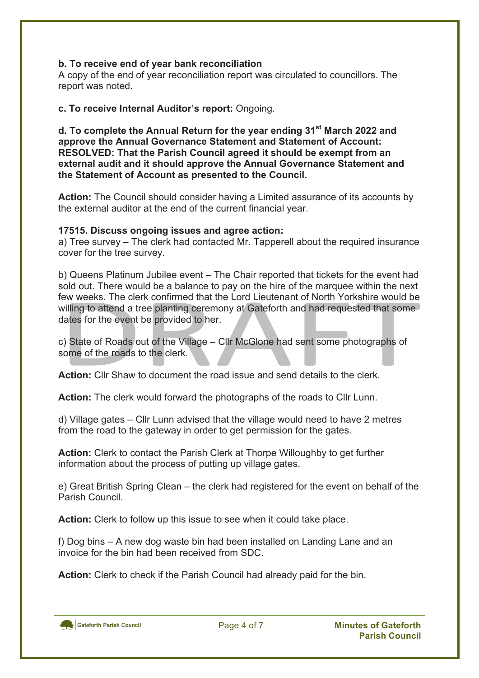### **b. To receive end of year bank reconciliation**

A copy of the end of year reconciliation report was circulated to councillors. The report was noted.

### **c. To receive Internal Auditor's report:** Ongoing.

**d. To complete the Annual Return for the year ending 31st March 2022 and approve the Annual Governance Statement and Statement of Account: RESOLVED: That the Parish Council agreed it should be exempt from an external audit and it should approve the Annual Governance Statement and the Statement of Account as presented to the Council.**

**Action:** The Council should consider having a Limited assurance of its accounts by the external auditor at the end of the current financial year.

### **17515. Discuss ongoing issues and agree action:**

a) Tree survey – The clerk had contacted Mr. Tapperell about the required insurance cover for the tree survey.

b) Queens Platinum Jubilee event – The Chair reported that tickets for the event had sold out. There would be a balance to pay on the hire of the marquee within the next few weeks. The clerk confirmed that the Lord Lieutenant of North Yorkshire would be willing to attend a tree planting ceremony at Gateforth and had requested that some dates for the event be provided to her.

c) State of Roads out of the Village – Cllr McGlone had sent some photographs of some of the roads to the clerk.

**Action:** Cllr Shaw to document the road issue and send details to the clerk.

**Action:** The clerk would forward the photographs of the roads to Cllr Lunn.

d) Village gates – Cllr Lunn advised that the village would need to have 2 metres from the road to the gateway in order to get permission for the gates.

**Action:** Clerk to contact the Parish Clerk at Thorpe Willoughby to get further information about the process of putting up village gates.

e) Great British Spring Clean – the clerk had registered for the event on behalf of the Parish Council.

**Action:** Clerk to follow up this issue to see when it could take place.

f) Dog bins – A new dog waste bin had been installed on Landing Lane and an invoice for the bin had been received from SDC.

**Action:** Clerk to check if the Parish Council had already paid for the bin.

Gateforth Parish Council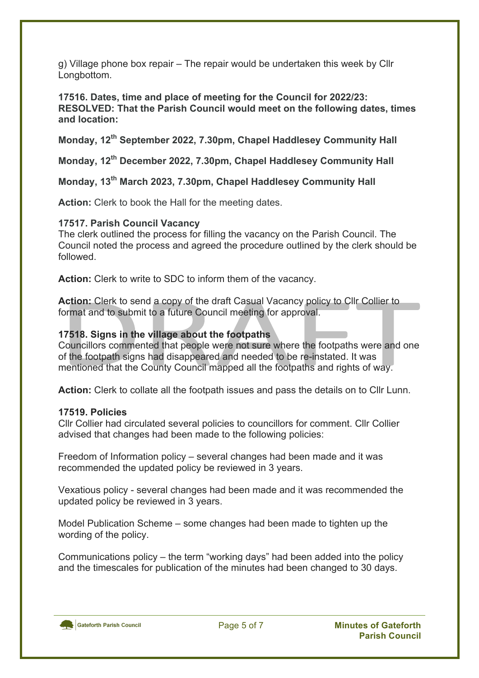g) Village phone box repair – The repair would be undertaken this week by Cllr Longbottom.

**17516. Dates, time and place of meeting for the Council for 2022/23: RESOLVED: That the Parish Council would meet on the following dates, times and location:**

**Monday, 12th September 2022, 7.30pm, Chapel Haddlesey Community Hall**

**Monday, 12th December 2022, 7.30pm, Chapel Haddlesey Community Hall**

**Monday, 13th March 2023, 7.30pm, Chapel Haddlesey Community Hall**

**Action:** Clerk to book the Hall for the meeting dates.

### **17517. Parish Council Vacancy**

The clerk outlined the process for filling the vacancy on the Parish Council. The Council noted the process and agreed the procedure outlined by the clerk should be followed.

**Action:** Clerk to write to SDC to inform them of the vacancy.

**Action:** Clerk to send a copy of the draft Casual Vacancy policy to Cllr Collier to format and to submit to a future Council meeting for approval.

### **17518. Signs in the village about the footpaths**

Councillors commented that people were not sure where the footpaths were and one of the footpath signs had disappeared and needed to be re-instated. It was mentioned that the County Council mapped all the footpaths and rights of way.

**Action:** Clerk to collate all the footpath issues and pass the details on to Cllr Lunn.

### **17519. Policies**

Cllr Collier had circulated several policies to councillors for comment. Cllr Collier advised that changes had been made to the following policies:

Freedom of Information policy – several changes had been made and it was recommended the updated policy be reviewed in 3 years.

Vexatious policy - several changes had been made and it was recommended the updated policy be reviewed in 3 years.

Model Publication Scheme – some changes had been made to tighten up the wording of the policy.

Communications policy – the term "working days" had been added into the policy and the timescales for publication of the minutes had been changed to 30 days.

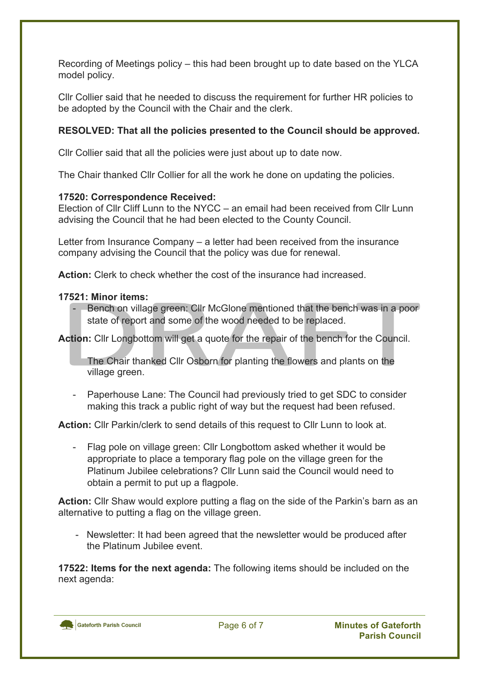Recording of Meetings policy – this had been brought up to date based on the YLCA model policy.

Cllr Collier said that he needed to discuss the requirement for further HR policies to be adopted by the Council with the Chair and the clerk.

## **RESOLVED: That all the policies presented to the Council should be approved.**

Cllr Collier said that all the policies were just about up to date now.

The Chair thanked Cllr Collier for all the work he done on updating the policies.

### **17520: Correspondence Received:**

Election of Cllr Cliff Lunn to the NYCC – an email had been received from Cllr Lunn advising the Council that he had been elected to the County Council.

Letter from Insurance Company – a letter had been received from the insurance company advising the Council that the policy was due for renewal.

**Action:** Clerk to check whether the cost of the insurance had increased.

### **17521: Minor items:**

Bench on village green: Cllr McGlone mentioned that the bench was in a poor state of report and some of the wood needed to be replaced.

**Action:** Cllr Longbottom will get a quote for the repair of the bench for the Council.

The Chair thanked Cllr Osborn for planting the flowers and plants on the village green.

- Paperhouse Lane: The Council had previously tried to get SDC to consider making this track a public right of way but the request had been refused.

**Action:** Cllr Parkin/clerk to send details of this request to Cllr Lunn to look at.

- Flag pole on village green: Cllr Longbottom asked whether it would be appropriate to place a temporary flag pole on the village green for the Platinum Jubilee celebrations? Cllr Lunn said the Council would need to obtain a permit to put up a flagpole.

**Action:** Cllr Shaw would explore putting a flag on the side of the Parkin's barn as an alternative to putting a flag on the village green.

- Newsletter: It had been agreed that the newsletter would be produced after the Platinum Jubilee event.

**17522: Items for the next agenda:** The following items should be included on the next agenda: